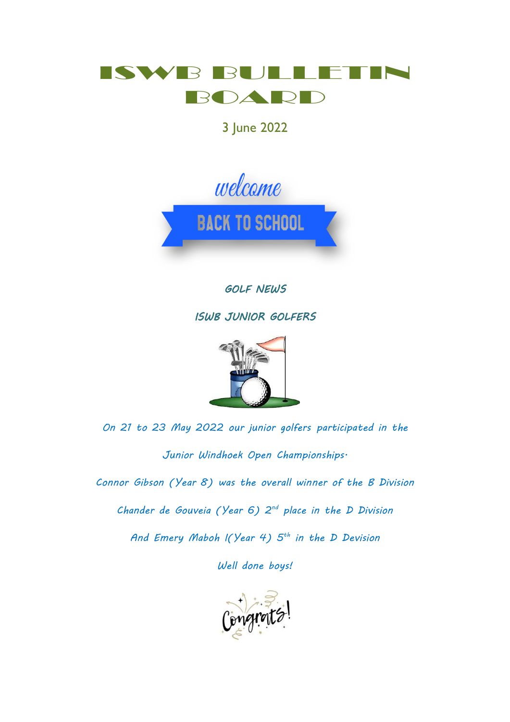

3 June 2022



*GOLF NEWS* 

*ISWB JUNIOR GOLFERS* 



*On 21 to 23 May 2022 our junior golfers participated in the Junior Windhoek Open Championships. Connor Gibson (Year 8) was the overall winner of the B Division Chander de Gouveia (Year 6) 2 nd place in the D Division And Emery Maboh I(Year 4) 5 th in the D Devision*

*Well done boys!*

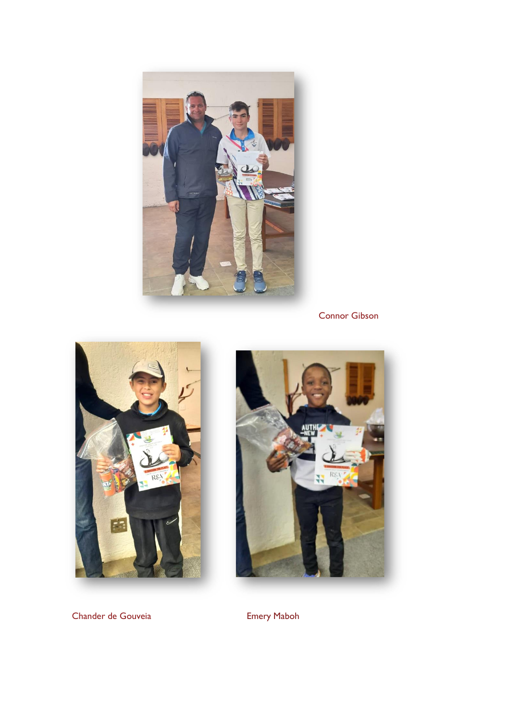

Connor Gibson





Chander de Gouveia **Emery Maboh**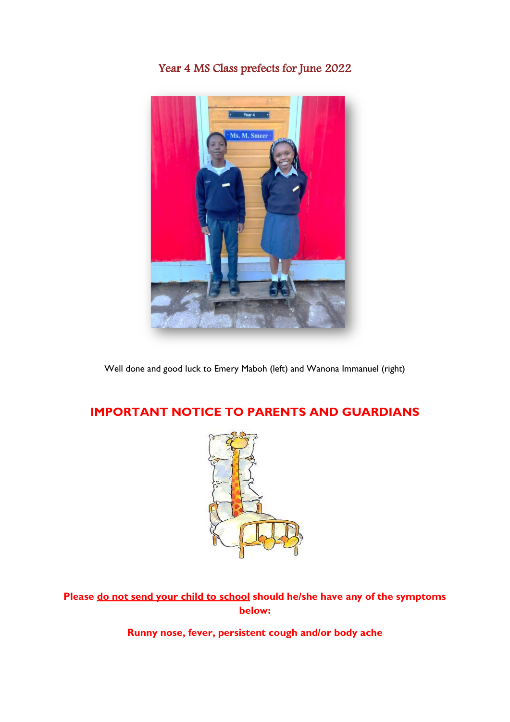#### Year 4 MS Class prefects for June 2022



Well done and good luck to Emery Maboh (left) and Wanona Immanuel (right)

#### **IMPORTANT NOTICE TO PARENTS AND GUARDIANS**



**Please do not send your child to school should he/she have any of the symptoms below:**

**Runny nose, fever, persistent cough and/or body ache**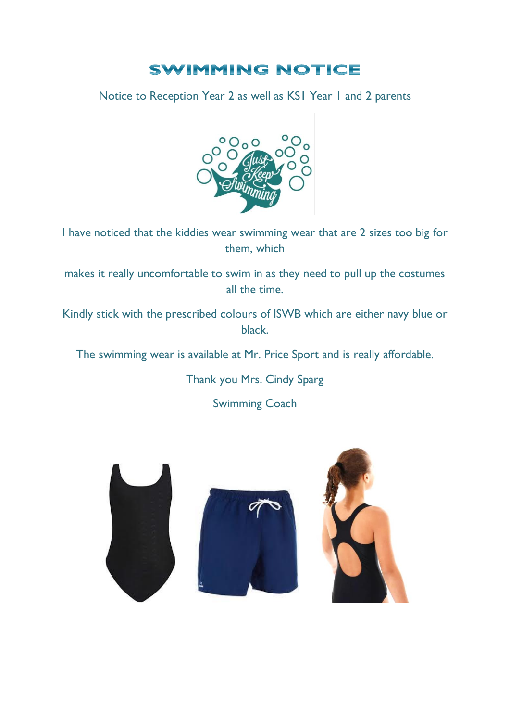#### **SWIMMING NOTICE**

Notice to Reception Year 2 as well as KS1 Year 1 and 2 parents



I have noticed that the kiddies wear swimming wear that are 2 sizes too big for them, which

makes it really uncomfortable to swim in as they need to pull up the costumes all the time.

Kindly stick with the prescribed colours of ISWB which are either navy blue or black.

The swimming wear is available at Mr. Price Sport and is really affordable.

Thank you Mrs. Cindy Sparg

Swimming Coach





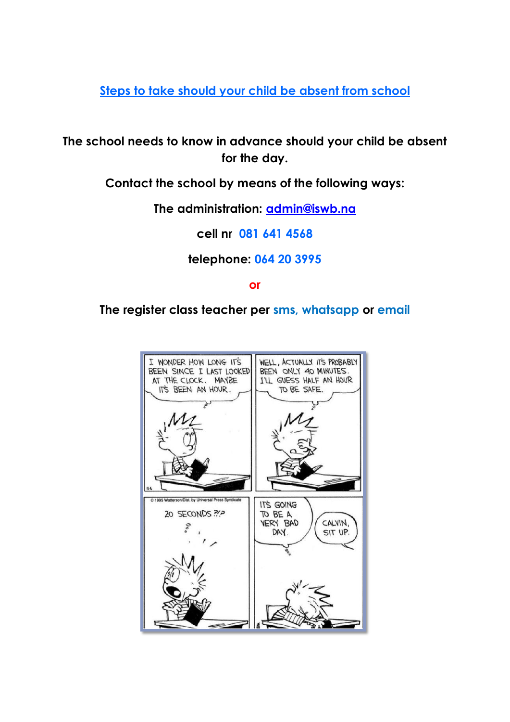**Steps to take should your child be absent from school**

**The school needs to know in advance should your child be absent for the day.**

**Contact the school by means of the following ways:**

**The administration: [admin@iswb.na](mailto:admin@iswb.na)** 

**cell nr 081 641 4568**

**telephone: 064 20 3995**

**or**

**The register class teacher per sms, whatsapp or email**

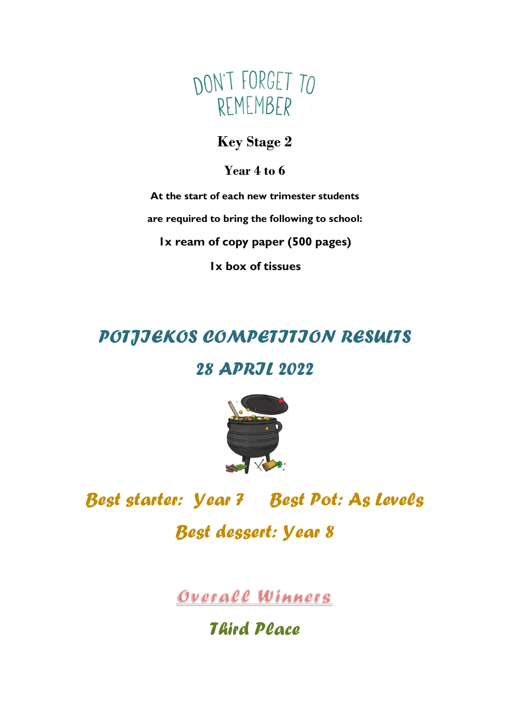

#### **Key Stage 2**

**Year 4 to 6**

**At the start of each new trimester students are required to bring the following to school: 1x ream of copy paper (500 pages)**

**1x box of tissues**

## *POTJIEKOS COMPETITION RESULTS*

### *28 APRIL 2022*



## *Best starter: Year 7 Best Pot: As Levels*

*Best dessert: Year 8*

Overall Winners

## *Third Place*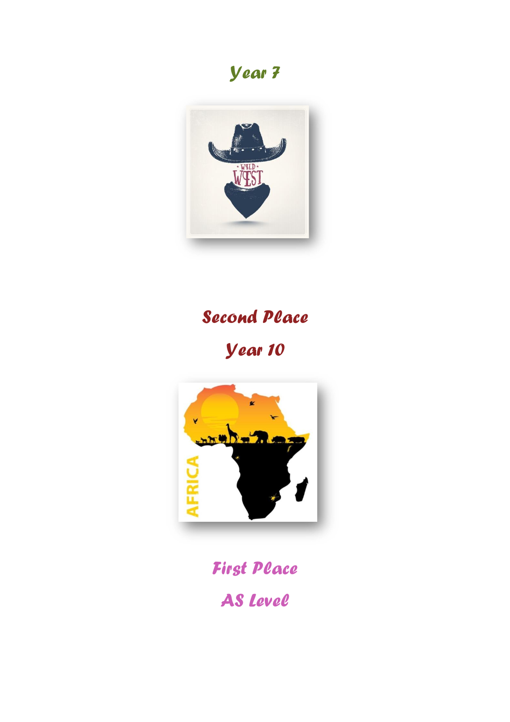## *Year 7*



# *Second Place*

*Year 10*



## *First Place AS Level*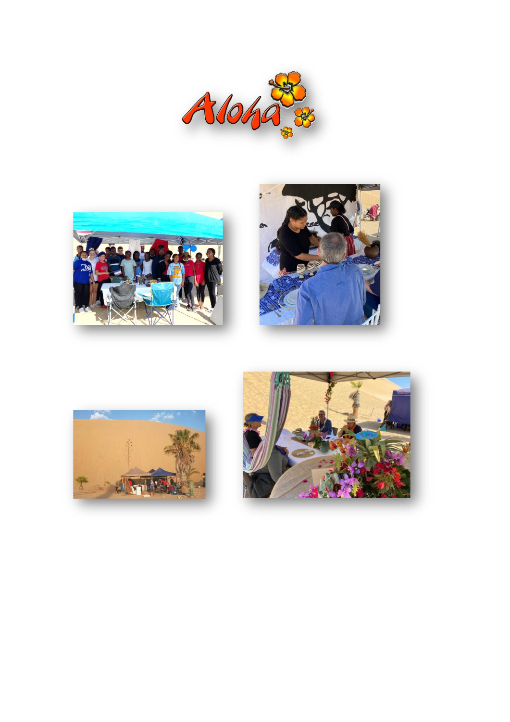